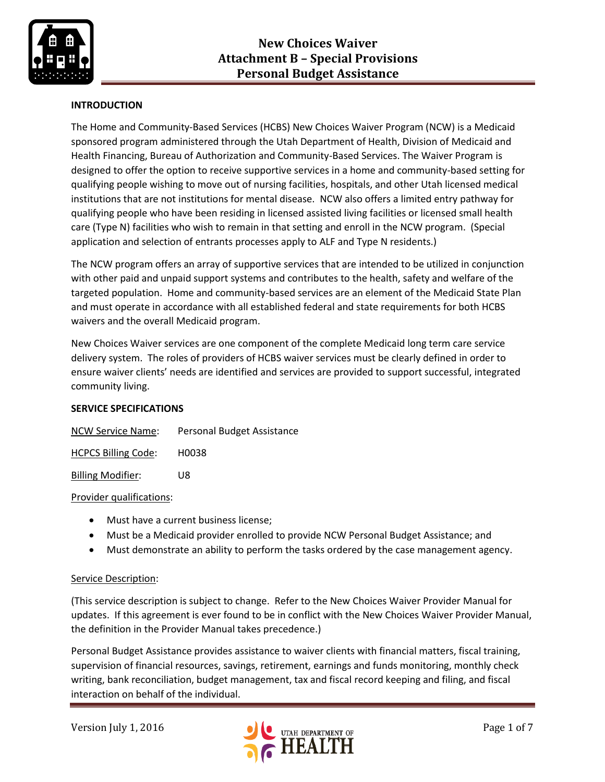

# **INTRODUCTION**

The Home and Community-Based Services (HCBS) New Choices Waiver Program (NCW) is a Medicaid sponsored program administered through the Utah Department of Health, Division of Medicaid and Health Financing, Bureau of Authorization and Community-Based Services. The Waiver Program is designed to offer the option to receive supportive services in a home and community-based setting for qualifying people wishing to move out of nursing facilities, hospitals, and other Utah licensed medical institutions that are not institutions for mental disease. NCW also offers a limited entry pathway for qualifying people who have been residing in licensed assisted living facilities or licensed small health care (Type N) facilities who wish to remain in that setting and enroll in the NCW program. (Special application and selection of entrants processes apply to ALF and Type N residents.)

The NCW program offers an array of supportive services that are intended to be utilized in conjunction with other paid and unpaid support systems and contributes to the health, safety and welfare of the targeted population. Home and community-based services are an element of the Medicaid State Plan and must operate in accordance with all established federal and state requirements for both HCBS waivers and the overall Medicaid program.

New Choices Waiver services are one component of the complete Medicaid long term care service delivery system. The roles of providers of HCBS waiver services must be clearly defined in order to ensure waiver clients' needs are identified and services are provided to support successful, integrated community living.

## **SERVICE SPECIFICATIONS**

| <b>NCW Service Name:</b> | Personal Budget Assistance |
|--------------------------|----------------------------|
|                          |                            |

HCPCS Billing Code: H0038

Billing Modifier: U8

#### Provider qualifications:

- Must have a current business license;
- Must be a Medicaid provider enrolled to provide NCW Personal Budget Assistance; and
- Must demonstrate an ability to perform the tasks ordered by the case management agency.

#### Service Description:

(This service description is subject to change. Refer to the New Choices Waiver Provider Manual for updates. If this agreement is ever found to be in conflict with the New Choices Waiver Provider Manual, the definition in the Provider Manual takes precedence.)

Personal Budget Assistance provides assistance to waiver clients with financial matters, fiscal training, supervision of financial resources, savings, retirement, earnings and funds monitoring, monthly check writing, bank reconciliation, budget management, tax and fiscal record keeping and filing, and fiscal interaction on behalf of the individual.

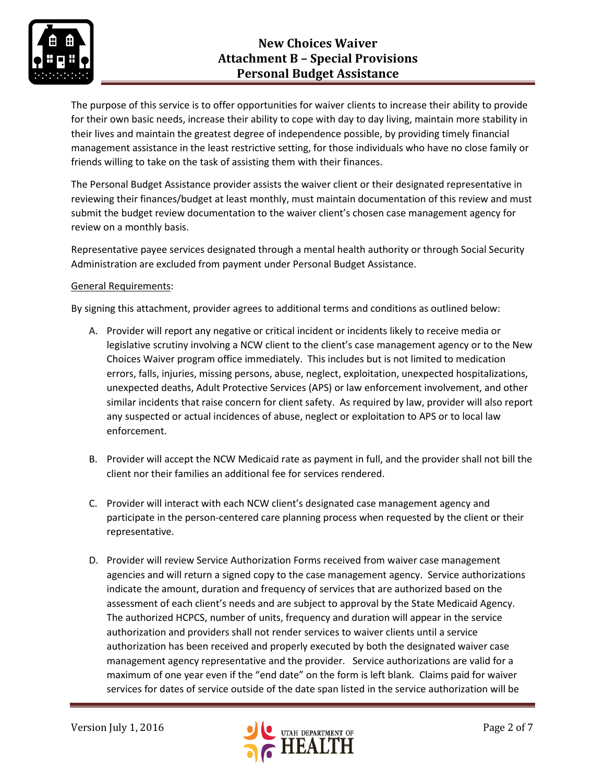

The purpose of this service is to offer opportunities for waiver clients to increase their ability to provide for their own basic needs, increase their ability to cope with day to day living, maintain more stability in their lives and maintain the greatest degree of independence possible, by providing timely financial management assistance in the least restrictive setting, for those individuals who have no close family or friends willing to take on the task of assisting them with their finances.

The Personal Budget Assistance provider assists the waiver client or their designated representative in reviewing their finances/budget at least monthly, must maintain documentation of this review and must submit the budget review documentation to the waiver client's chosen case management agency for review on a monthly basis.

Representative payee services designated through a mental health authority or through Social Security Administration are excluded from payment under Personal Budget Assistance.

## General Requirements:

By signing this attachment, provider agrees to additional terms and conditions as outlined below:

- A. Provider will report any negative or critical incident or incidents likely to receive media or legislative scrutiny involving a NCW client to the client's case management agency or to the New Choices Waiver program office immediately. This includes but is not limited to medication errors, falls, injuries, missing persons, abuse, neglect, exploitation, unexpected hospitalizations, unexpected deaths, Adult Protective Services (APS) or law enforcement involvement, and other similar incidents that raise concern for client safety. As required by law, provider will also report any suspected or actual incidences of abuse, neglect or exploitation to APS or to local law enforcement.
- B. Provider will accept the NCW Medicaid rate as payment in full, and the provider shall not bill the client nor their families an additional fee for services rendered.
- C. Provider will interact with each NCW client's designated case management agency and participate in the person-centered care planning process when requested by the client or their representative.
- D. Provider will review Service Authorization Forms received from waiver case management agencies and will return a signed copy to the case management agency. Service authorizations indicate the amount, duration and frequency of services that are authorized based on the assessment of each client's needs and are subject to approval by the State Medicaid Agency. The authorized HCPCS, number of units, frequency and duration will appear in the service authorization and providers shall not render services to waiver clients until a service authorization has been received and properly executed by both the designated waiver case management agency representative and the provider. Service authorizations are valid for a maximum of one year even if the "end date" on the form is left blank. Claims paid for waiver services for dates of service outside of the date span listed in the service authorization will be

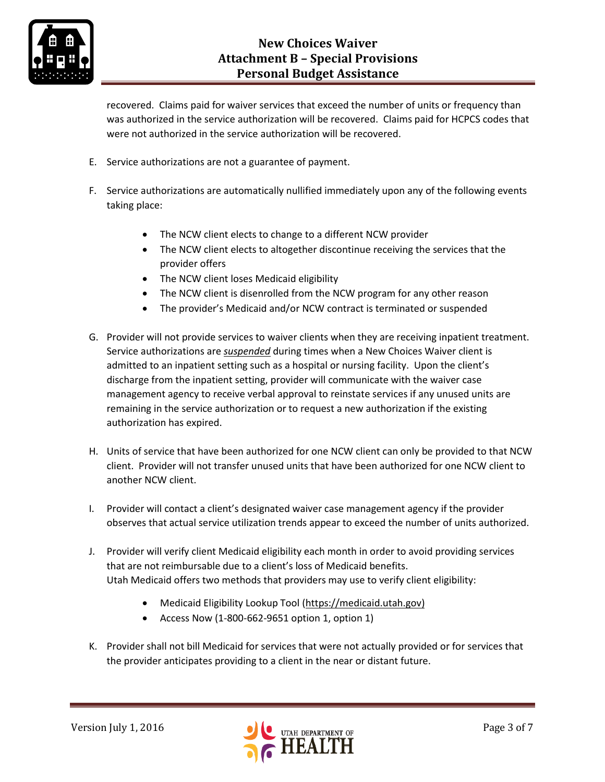

recovered. Claims paid for waiver services that exceed the number of units or frequency than was authorized in the service authorization will be recovered. Claims paid for HCPCS codes that were not authorized in the service authorization will be recovered.

- E. Service authorizations are not a guarantee of payment.
- F. Service authorizations are automatically nullified immediately upon any of the following events taking place:
	- The NCW client elects to change to a different NCW provider
	- The NCW client elects to altogether discontinue receiving the services that the provider offers
	- The NCW client loses Medicaid eligibility
	- The NCW client is disenrolled from the NCW program for any other reason
	- The provider's Medicaid and/or NCW contract is terminated or suspended
- G. Provider will not provide services to waiver clients when they are receiving inpatient treatment. Service authorizations are *suspended* during times when a New Choices Waiver client is admitted to an inpatient setting such as a hospital or nursing facility. Upon the client's discharge from the inpatient setting, provider will communicate with the waiver case management agency to receive verbal approval to reinstate services if any unused units are remaining in the service authorization or to request a new authorization if the existing authorization has expired.
- H. Units of service that have been authorized for one NCW client can only be provided to that NCW client. Provider will not transfer unused units that have been authorized for one NCW client to another NCW client.
- I. Provider will contact a client's designated waiver case management agency if the provider observes that actual service utilization trends appear to exceed the number of units authorized.
- J. Provider will verify client Medicaid eligibility each month in order to avoid providing services that are not reimbursable due to a client's loss of Medicaid benefits. Utah Medicaid offers two methods that providers may use to verify client eligibility:
	- Medicaid Eligibility Lookup Tool [\(https://medicaid.utah.gov\)](https://medicaid.utah.gov/)
	- Access Now (1-800-662-9651 option 1, option 1)
- K. Provider shall not bill Medicaid for services that were not actually provided or for services that the provider anticipates providing to a client in the near or distant future.

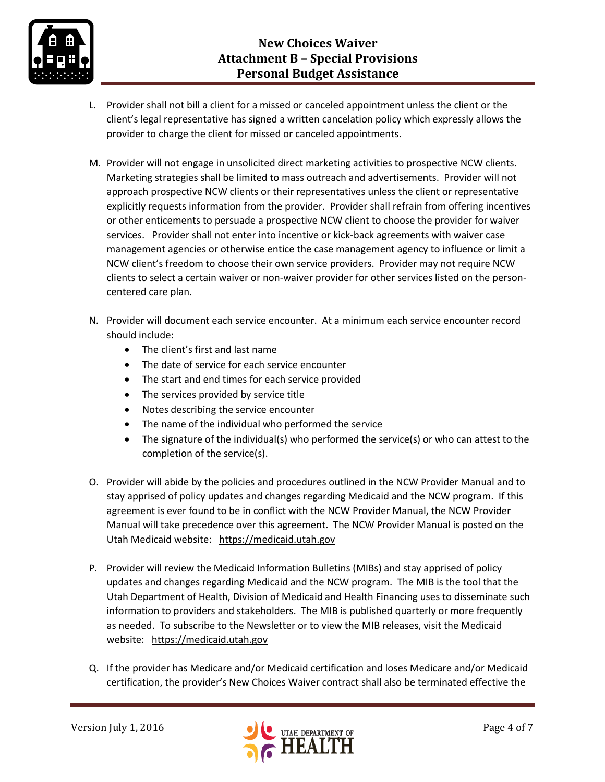

- L. Provider shall not bill a client for a missed or canceled appointment unless the client or the client's legal representative has signed a written cancelation policy which expressly allows the provider to charge the client for missed or canceled appointments.
- M. Provider will not engage in unsolicited direct marketing activities to prospective NCW clients. Marketing strategies shall be limited to mass outreach and advertisements. Provider will not approach prospective NCW clients or their representatives unless the client or representative explicitly requests information from the provider. Provider shall refrain from offering incentives or other enticements to persuade a prospective NCW client to choose the provider for waiver services. Provider shall not enter into incentive or kick-back agreements with waiver case management agencies or otherwise entice the case management agency to influence or limit a NCW client's freedom to choose their own service providers. Provider may not require NCW clients to select a certain waiver or non-waiver provider for other services listed on the personcentered care plan.
- N. Provider will document each service encounter. At a minimum each service encounter record should include:
	- The client's first and last name
	- The date of service for each service encounter
	- The start and end times for each service provided
	- The services provided by service title
	- Notes describing the service encounter
	- The name of the individual who performed the service
	- The signature of the individual(s) who performed the service(s) or who can attest to the completion of the service(s).
- O. Provider will abide by the policies and procedures outlined in the NCW Provider Manual and to stay apprised of policy updates and changes regarding Medicaid and the NCW program. If this agreement is ever found to be in conflict with the NCW Provider Manual, the NCW Provider Manual will take precedence over this agreement. The NCW Provider Manual is posted on the Utah Medicaid website: [https://medicaid.utah.gov](https://medicaid.utah.gov/)
- P. Provider will review the Medicaid Information Bulletins (MIBs) and stay apprised of policy updates and changes regarding Medicaid and the NCW program. The MIB is the tool that the Utah Department of Health, Division of Medicaid and Health Financing uses to disseminate such information to providers and stakeholders. The MIB is published quarterly or more frequently as needed. To subscribe to the Newsletter or to view the MIB releases, visit the Medicaid website: [https://medicaid.utah.gov](https://medicaid.utah.gov/)
- Q. If the provider has Medicare and/or Medicaid certification and loses Medicare and/or Medicaid certification, the provider's New Choices Waiver contract shall also be terminated effective the

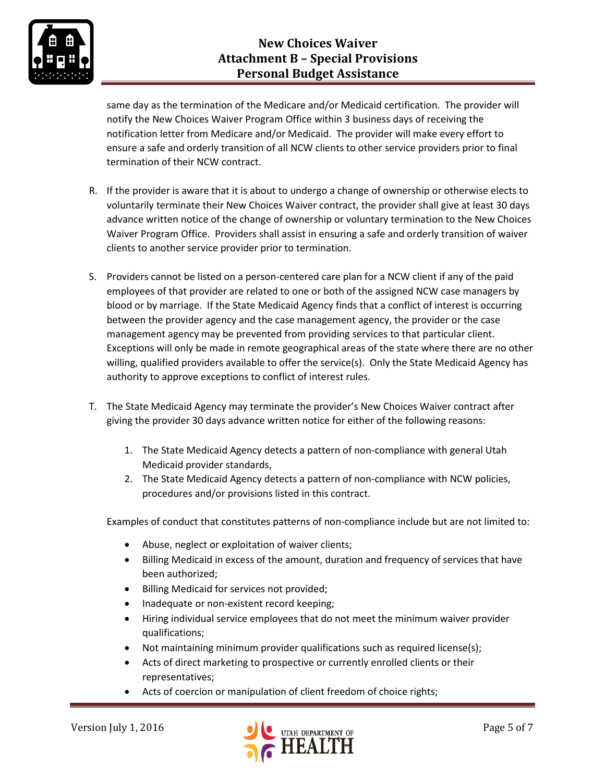

same day as the termination of the Medicare and/or Medicaid certification. The provider will notify the New Choices Waiver Program Office within 3 business days of receiving the notification letter from Medicare and/or Medicaid. The provider will make every effort to ensure a safe and orderly transition of all NCW clients to other service providers prior to final termination of their NCW contract.

- R. If the provider is aware that it is about to undergo a change of ownership or otherwise elects to voluntarily terminate their New Choices Waiver contract, the provider shall give at least 30 days advance written notice of the change of ownership or voluntary termination to the New Choices Waiver Program Office. Providers shall assist in ensuring a safe and orderly transition of waiver clients to another service provider prior to termination.
- S. Providers cannot be listed on a person-centered care plan for a NCW client if any of the paid employees of that provider are related to one or both of the assigned NCW case managers by blood or by marriage. If the State Medicaid Agency finds that a conflict of interest is occurring between the provider agency and the case management agency, the provider or the case management agency may be prevented from providing services to that particular client. Exceptions will only be made in remote geographical areas of the state where there are no other willing, qualified providers available to offer the service(s). Only the State Medicaid Agency has authority to approve exceptions to conflict of interest rules.
- T. The State Medicaid Agency may terminate the provider's New Choices Waiver contract after giving the provider 30 days advance written notice for either of the following reasons:
	- 1. The State Medicaid Agency detects a pattern of non-compliance with general Utah Medicaid provider standards,
	- 2. The State Medicaid Agency detects a pattern of non-compliance with NCW policies, procedures and/or provisions listed in this contract.

Examples of conduct that constitutes patterns of non-compliance include but are not limited to:

- Abuse, neglect or exploitation of waiver clients;
- Billing Medicaid in excess of the amount, duration and frequency of services that have been authorized;
- **•** Billing Medicaid for services not provided;
- Inadequate or non-existent record keeping;
- Hiring individual service employees that do not meet the minimum waiver provider qualifications;
- Not maintaining minimum provider qualifications such as required license(s);
- Acts of direct marketing to prospective or currently enrolled clients or their representatives;
- Acts of coercion or manipulation of client freedom of choice rights;

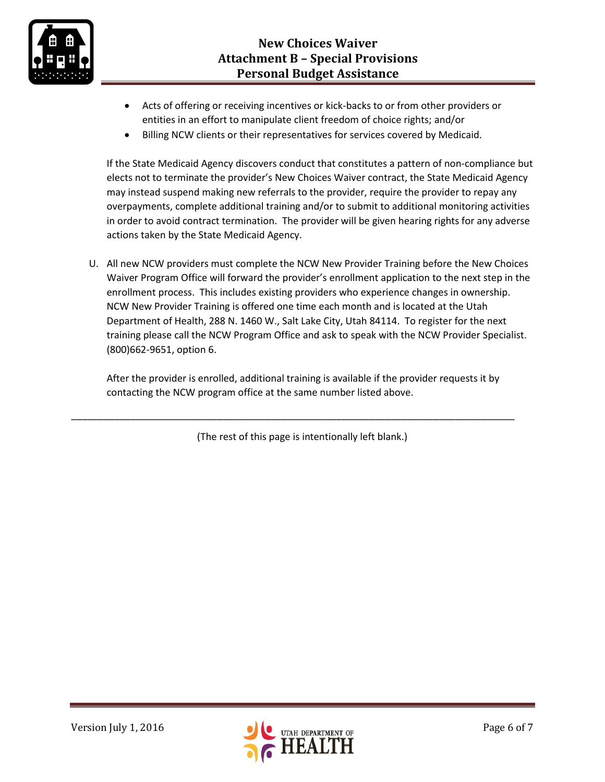

- Acts of offering or receiving incentives or kick-backs to or from other providers or entities in an effort to manipulate client freedom of choice rights; and/or
- Billing NCW clients or their representatives for services covered by Medicaid.

If the State Medicaid Agency discovers conduct that constitutes a pattern of non-compliance but elects not to terminate the provider's New Choices Waiver contract, the State Medicaid Agency may instead suspend making new referrals to the provider, require the provider to repay any overpayments, complete additional training and/or to submit to additional monitoring activities in order to avoid contract termination. The provider will be given hearing rights for any adverse actions taken by the State Medicaid Agency.

U. All new NCW providers must complete the NCW New Provider Training before the New Choices Waiver Program Office will forward the provider's enrollment application to the next step in the enrollment process. This includes existing providers who experience changes in ownership. NCW New Provider Training is offered one time each month and is located at the Utah Department of Health, 288 N. 1460 W., Salt Lake City, Utah 84114. To register for the next training please call the NCW Program Office and ask to speak with the NCW Provider Specialist. (800)662-9651, option 6.

After the provider is enrolled, additional training is available if the provider requests it by contacting the NCW program office at the same number listed above.

(The rest of this page is intentionally left blank.)

\_\_\_\_\_\_\_\_\_\_\_\_\_\_\_\_\_\_\_\_\_\_\_\_\_\_\_\_\_\_\_\_\_\_\_\_\_\_\_\_\_\_\_\_\_\_\_\_\_\_\_\_\_\_\_\_\_\_\_\_\_\_\_\_\_\_\_\_\_\_\_\_\_\_\_\_\_\_\_\_\_\_